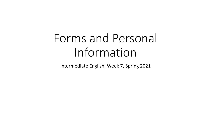# Forms and Personal Information

Intermediate English, Week 7, Spring 2021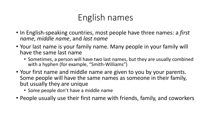# English names

- In English-speaking countries, most people have three names: a *first name*, *middle name*, and *last name*
- Your last name is your family name. Many people in your family will have the same last name
	- Sometimes, a person will have two last names, but they are usually combined with a hyphen (for example, "Smith-Williams")
- Your first name and middle name are given to you by your parents. Some people will have the same names as someone in their family, but usually they are unique
	- Some people don't have a middle name
- People usually use their first name with friends, family, and coworkers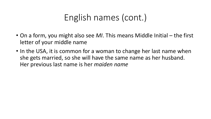# English names (cont.)

- On a form, you might also see *MI*. This means Middle Initial the first letter of your middle name
- In the USA, it is common for a woman to change her last name when she gets married, so she will have the same name as her husband. Her previous last name is her *maiden name*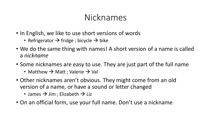## Nicknames

- In English, we like to use short versions of words
	- Refrigerator  $\rightarrow$  fridge ; bicycle  $\rightarrow$  bike
- We do the same thing with names! A short version of a name is called a *nickname*
- Some nicknames are easy to use. They are just part of the full name
	- Matthew  $\rightarrow$  Matt ; Valerie  $\rightarrow$  Val
- Other nicknames aren't obvious. They might come from an old version of a name, or have a sound or letter changed
	- James  $\rightarrow$  Jim; Elizabeth  $\rightarrow$  Liz
- On an official form, use your full name. Don't use a nickname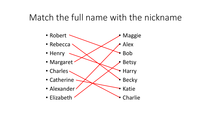#### Match the full name with the nickname

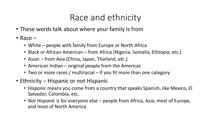## Race and ethnicity

- These words talk about where your family is from
- Race
	- White people with family from Europe or North Africa
	- Black or African American from Africa (Nigeria, Somalia, Ethiopia, etc.)
	- Asian from Asia (China, Japan, Thailand, etc.)
	- American Indian original people from the Americas
	- Two or more races / multiracial if you fit more than one category
- Ethnicity Hispanic or not Hispanic
	- *Hispanic* means you come from a country that speaks Spanish, like Mexico, El Salvador, Colombia, etc.
	- *Not Hispanic* is for everyone else people from Africa, Asia, most of Europe, and most of North America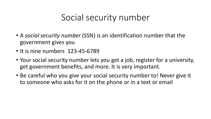## Social security number

- A *social security number* (SSN) is an identification number that the government gives you
- It is nine numbers 123-45-6789
- Your social security number lets you get a job, register for a university, get government benefits, and more. It is very important.
- Be careful who you give your social security number to! Never give it to someone who asks for it on the phone or in a text or email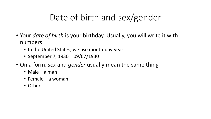# Date of birth and sex/gender

- Your *date of birth* is your birthday. Usually, you will write it with numbers
	- In the United States, we use month-day-year
	- September 7, 1930 = 09/07/1930
- On a form, *sex* and *gender* usually mean the same thing
	- Male a man
	- Female a woman
	- Other